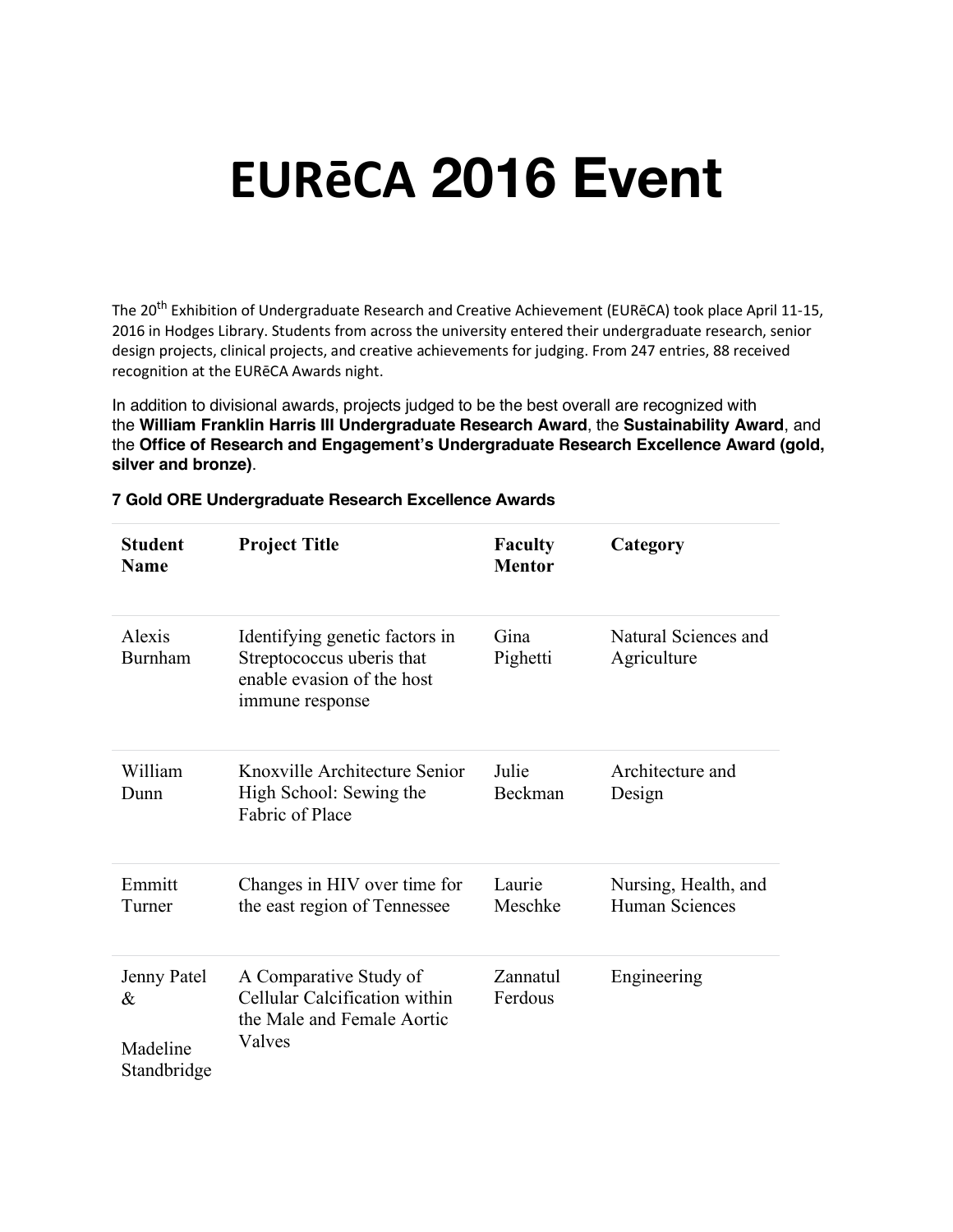# **EURēCA 2016 Event**

The 20<sup>th</sup> Exhibition of Undergraduate Research and Creative Achievement (EURēCA) took place April 11-15, 2016 in Hodges Library. Students from across the university entered their undergraduate research, senior design projects, clinical projects, and creative achievements for judging. From 247 entries, 88 received recognition at the EURēCA Awards night.

In addition to divisional awards, projects judged to be the best overall are recognized with the **William Franklin Harris III Undergraduate Research Award**, the **Sustainability Award**, and the **Office of Research and Engagement's Undergraduate Research Excellence Award (gold, silver and bronze)**.

| <b>Student</b><br><b>Name</b>               | <b>Project Title</b>                                                                                         | <b>Faculty</b><br><b>Mentor</b> | Category                               |
|---------------------------------------------|--------------------------------------------------------------------------------------------------------------|---------------------------------|----------------------------------------|
| Alexis<br><b>Burnham</b>                    | Identifying genetic factors in<br>Streptococcus uberis that<br>enable evasion of the host<br>immune response | Gina<br>Pighetti                | Natural Sciences and<br>Agriculture    |
| William<br>Dunn                             | Knoxville Architecture Senior<br>High School: Sewing the<br>Fabric of Place                                  | Julie<br>Beckman                | Architecture and<br>Design             |
| Emmitt<br>Turner                            | Changes in HIV over time for<br>the east region of Tennessee                                                 | Laurie<br>Meschke               | Nursing, Health, and<br>Human Sciences |
| Jenny Patel<br>&<br>Madeline<br>Standbridge | A Comparative Study of<br>Cellular Calcification within<br>the Male and Female Aortic<br>Valves              | Zannatul<br>Ferdous             | Engineering                            |

#### **7 Gold ORE Undergraduate Research Excellence Awards**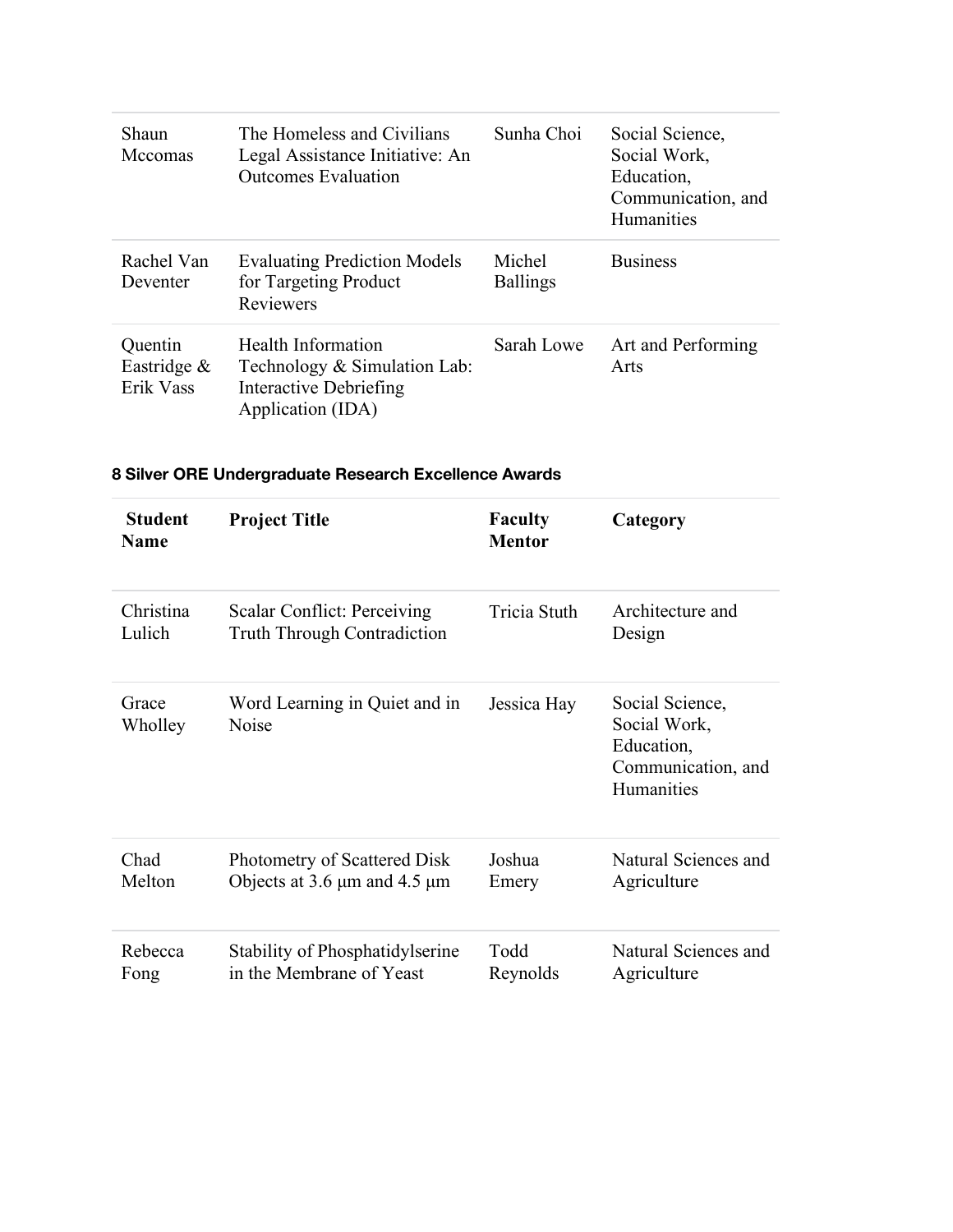| Shaun<br>Mccomas                       | The Homeless and Civilians<br>Legal Assistance Initiative: An<br><b>Outcomes Evaluation</b>       | Sunha Choi                | Social Science,<br>Social Work,<br>Education,<br>Communication, and<br><b>Humanities</b> |
|----------------------------------------|---------------------------------------------------------------------------------------------------|---------------------------|------------------------------------------------------------------------------------------|
| Rachel Van<br>Deventer                 | <b>Evaluating Prediction Models</b><br>for Targeting Product<br>Reviewers                         | Michel<br><b>Ballings</b> | <b>Business</b>                                                                          |
| Quentin<br>Eastridge $\&$<br>Erik Vass | Health Information<br>Technology & Simulation Lab:<br>Interactive Debriefing<br>Application (IDA) | Sarah Lowe                | Art and Performing<br>Arts                                                               |

## **8 Silver ORE Undergraduate Research Excellence Awards**

| <b>Student</b><br><b>Name</b> | <b>Project Title</b>                          | <b>Faculty</b><br><b>Mentor</b> | Category                                                                          |
|-------------------------------|-----------------------------------------------|---------------------------------|-----------------------------------------------------------------------------------|
| Christina                     | Scalar Conflict: Perceiving                   | Tricia Stuth                    | Architecture and                                                                  |
| Lulich                        | <b>Truth Through Contradiction</b>            |                                 | Design                                                                            |
| Grace<br>Wholley              | Word Learning in Quiet and in<br><b>Noise</b> | Jessica Hay                     | Social Science,<br>Social Work,<br>Education,<br>Communication, and<br>Humanities |
| Chad                          | Photometry of Scattered Disk                  | Joshua                          | Natural Sciences and                                                              |
| Melton                        | Objects at 3.6 $\mu$ m and 4.5 $\mu$ m        | Emery                           | Agriculture                                                                       |
| Rebecca                       | Stability of Phosphatidylserine               | Todd                            | Natural Sciences and                                                              |
| Fong                          | in the Membrane of Yeast                      | Reynolds                        | Agriculture                                                                       |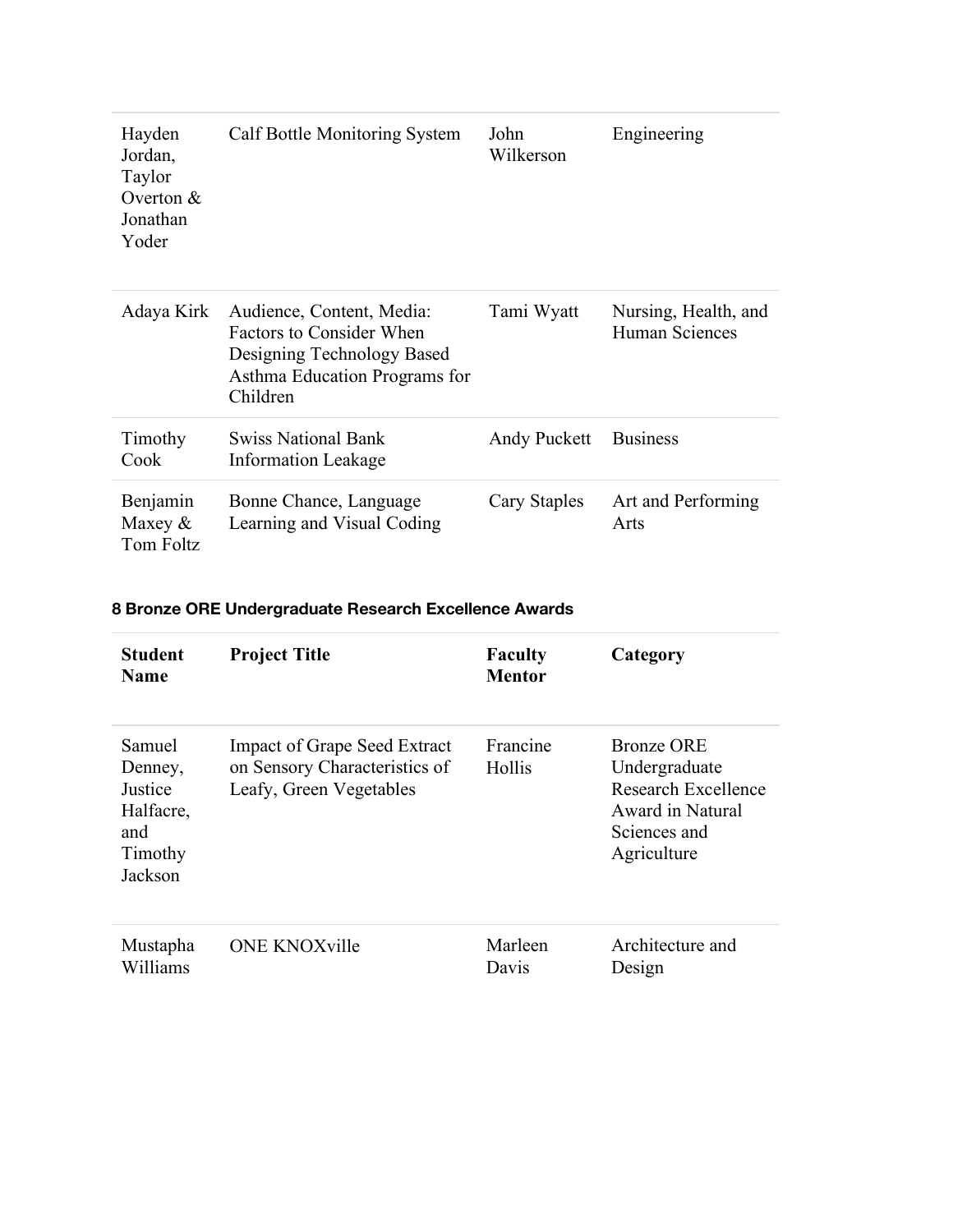| Hayden<br>Jordan,<br>Taylor<br>Overton $&$<br>Jonathan<br>Yoder | Calf Bottle Monitoring System                                                                                                           | John<br>Wilkerson | Engineering                                   |
|-----------------------------------------------------------------|-----------------------------------------------------------------------------------------------------------------------------------------|-------------------|-----------------------------------------------|
| Adaya Kirk                                                      | Audience, Content, Media:<br><b>Factors to Consider When</b><br>Designing Technology Based<br>Asthma Education Programs for<br>Children | Tami Wyatt        | Nursing, Health, and<br><b>Human Sciences</b> |
| Timothy<br>Cook                                                 | <b>Swiss National Bank</b><br><b>Information Leakage</b>                                                                                | Andy Puckett      | <b>Business</b>                               |
| Benjamin<br>Maxey $\&$<br>Tom Foltz                             | Bonne Chance, Language<br>Learning and Visual Coding                                                                                    | Cary Staples      | Art and Performing<br>Arts                    |

## **8 Bronze ORE Undergraduate Research Excellence Awards**

| <b>Student</b><br><b>Name</b>                                          | <b>Project Title</b>                                                                            | <b>Faculty</b><br><b>Mentor</b> | Category                                                                                                     |
|------------------------------------------------------------------------|-------------------------------------------------------------------------------------------------|---------------------------------|--------------------------------------------------------------------------------------------------------------|
| Samuel<br>Denney,<br>Justice<br>Halfacre,<br>and<br>Timothy<br>Jackson | <b>Impact of Grape Seed Extract</b><br>on Sensory Characteristics of<br>Leafy, Green Vegetables | Francine<br>Hollis              | <b>Bronze ORE</b><br>Undergraduate<br>Research Excellence<br>Award in Natural<br>Sciences and<br>Agriculture |
| Mustapha<br>Williams                                                   | <b>ONE KNOXville</b>                                                                            | Marleen<br>Davis                | Architecture and<br>Design                                                                                   |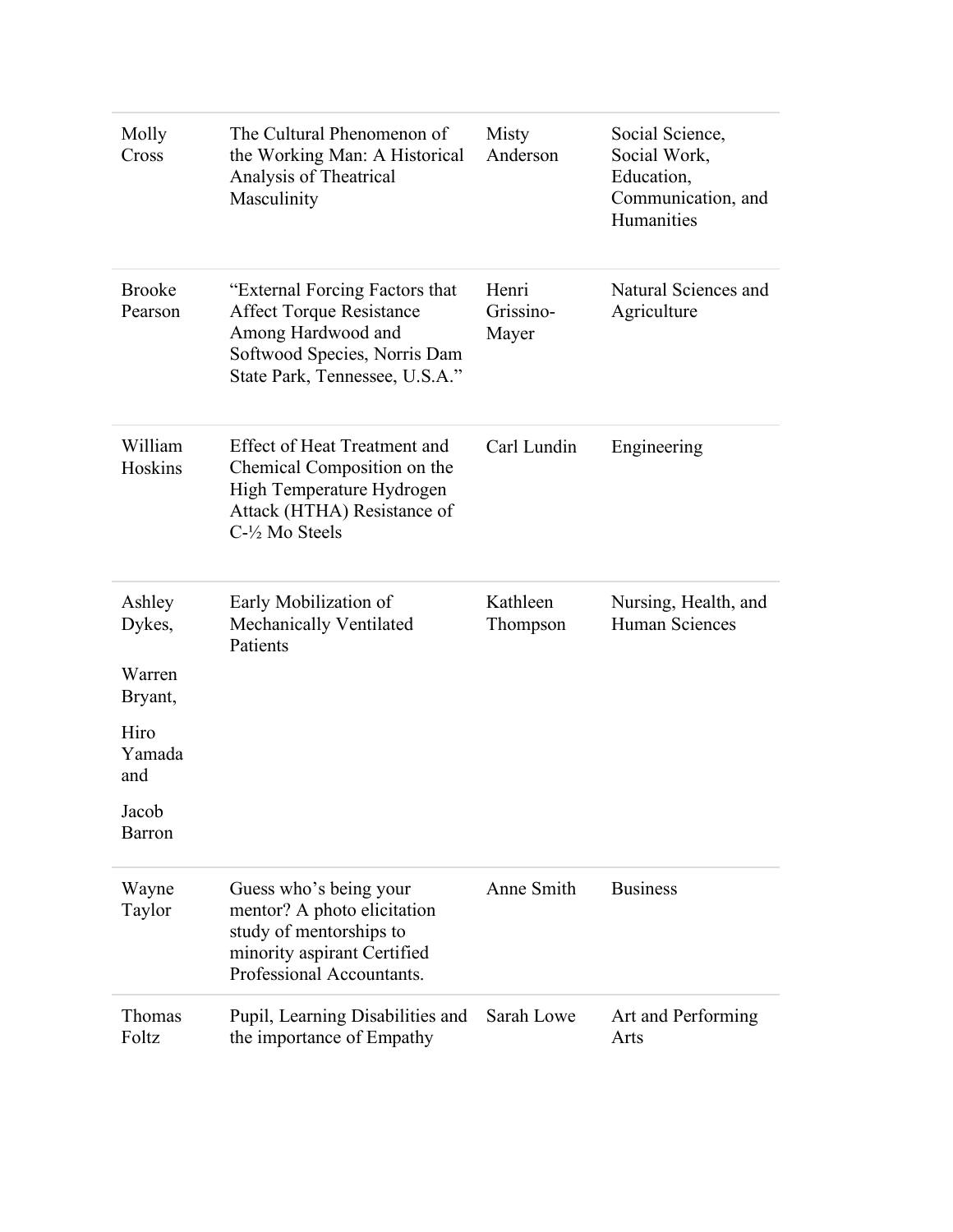| Molly<br>Cross           | The Cultural Phenomenon of<br>the Working Man: A Historical<br>Analysis of Theatrical<br>Masculinity                                                      | Misty<br>Anderson           | Social Science,<br>Social Work,<br>Education,<br>Communication, and<br>Humanities |
|--------------------------|-----------------------------------------------------------------------------------------------------------------------------------------------------------|-----------------------------|-----------------------------------------------------------------------------------|
| <b>Brooke</b><br>Pearson | "External Forcing Factors that<br><b>Affect Torque Resistance</b><br>Among Hardwood and<br>Softwood Species, Norris Dam<br>State Park, Tennessee, U.S.A." | Henri<br>Grissino-<br>Mayer | Natural Sciences and<br>Agriculture                                               |
| William<br>Hoskins       | <b>Effect of Heat Treatment and</b><br>Chemical Composition on the<br>High Temperature Hydrogen<br>Attack (HTHA) Resistance of<br>C-1/2 Mo Steels         | Carl Lundin                 | Engineering                                                                       |
| Ashley<br>Dykes,         | Early Mobilization of<br>Mechanically Ventilated<br>Patients                                                                                              | Kathleen<br>Thompson        | Nursing, Health, and<br>Human Sciences                                            |
| Warren<br>Bryant,        |                                                                                                                                                           |                             |                                                                                   |
| Hiro<br>Yamada<br>and    |                                                                                                                                                           |                             |                                                                                   |
| Jacob<br><b>Barron</b>   |                                                                                                                                                           |                             |                                                                                   |
| Wayne<br>Taylor          | Guess who's being your<br>mentor? A photo elicitation<br>study of mentorships to<br>minority aspirant Certified<br>Professional Accountants.              | Anne Smith                  | <b>Business</b>                                                                   |
| Thomas                   | Pupil, Learning Disabilities and                                                                                                                          | Sarah Lowe                  | Art and Performing                                                                |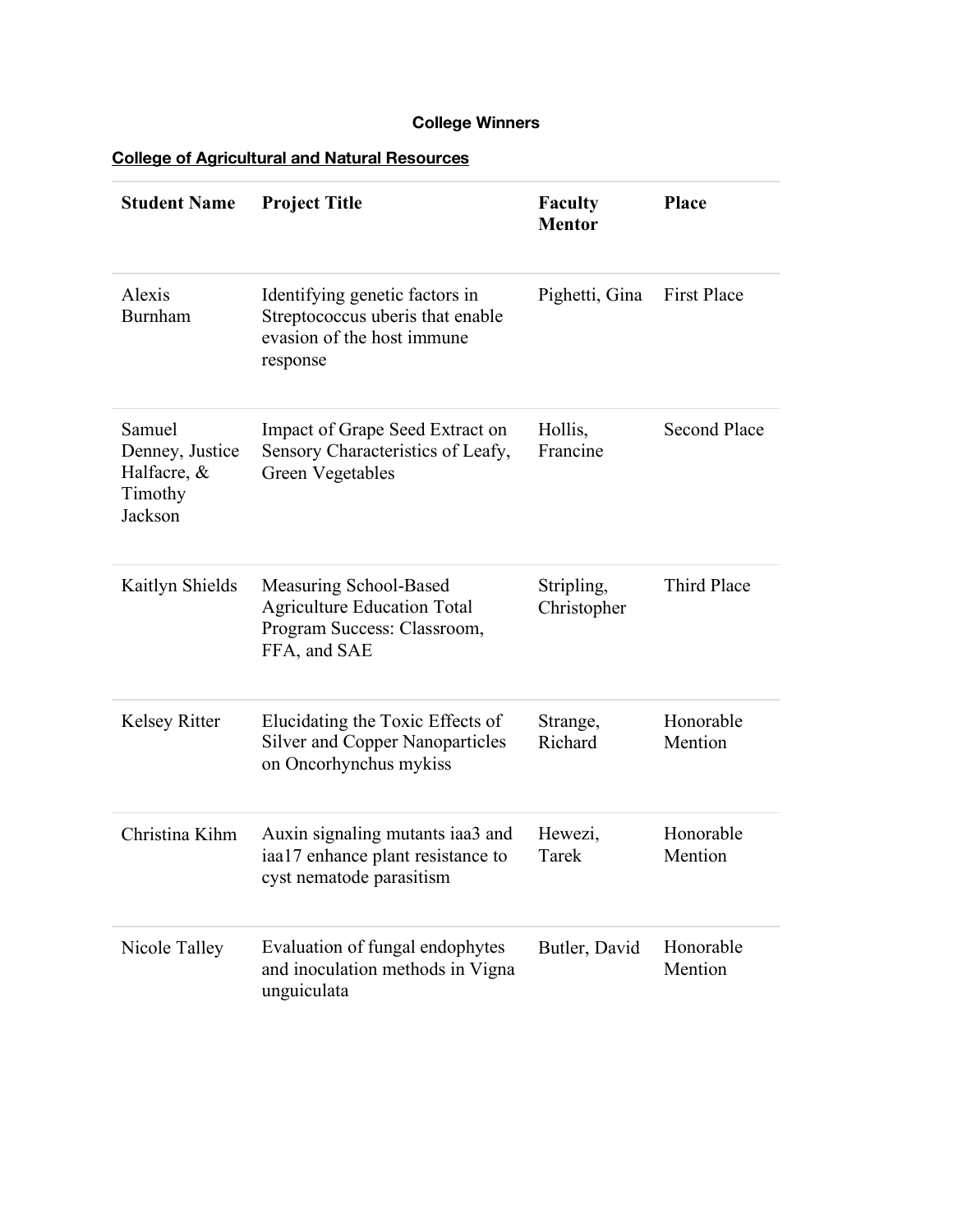## **College Winners**

**College of Agricultural and Natural Resources**

| <b>Student Name</b>                                            | <b>Project Title</b>                                                                                         | <b>Faculty</b><br><b>Mentor</b> | <b>Place</b>         |
|----------------------------------------------------------------|--------------------------------------------------------------------------------------------------------------|---------------------------------|----------------------|
| Alexis<br><b>Burnham</b>                                       | Identifying genetic factors in<br>Streptococcus uberis that enable<br>evasion of the host immune<br>response | Pighetti, Gina                  | <b>First Place</b>   |
| Samuel<br>Denney, Justice<br>Halfacre, &<br>Timothy<br>Jackson | Impact of Grape Seed Extract on<br>Sensory Characteristics of Leafy,<br><b>Green Vegetables</b>              | Hollis,<br>Francine             | <b>Second Place</b>  |
| Kaitlyn Shields                                                | Measuring School-Based<br><b>Agriculture Education Total</b><br>Program Success: Classroom,<br>FFA, and SAE  | Stripling,<br>Christopher       | Third Place          |
| <b>Kelsey Ritter</b>                                           | Elucidating the Toxic Effects of<br><b>Silver and Copper Nanoparticles</b><br>on Oncorhynchus mykiss         | Strange,<br>Richard             | Honorable<br>Mention |
| Christina Kihm                                                 | Auxin signaling mutants iaa3 and<br>iaa17 enhance plant resistance to<br>cyst nematode parasitism            | Hewezi,<br>Tarek                | Honorable<br>Mention |
| Nicole Talley                                                  | Evaluation of fungal endophytes<br>and inoculation methods in Vigna<br>unguiculata                           | Butler, David                   | Honorable<br>Mention |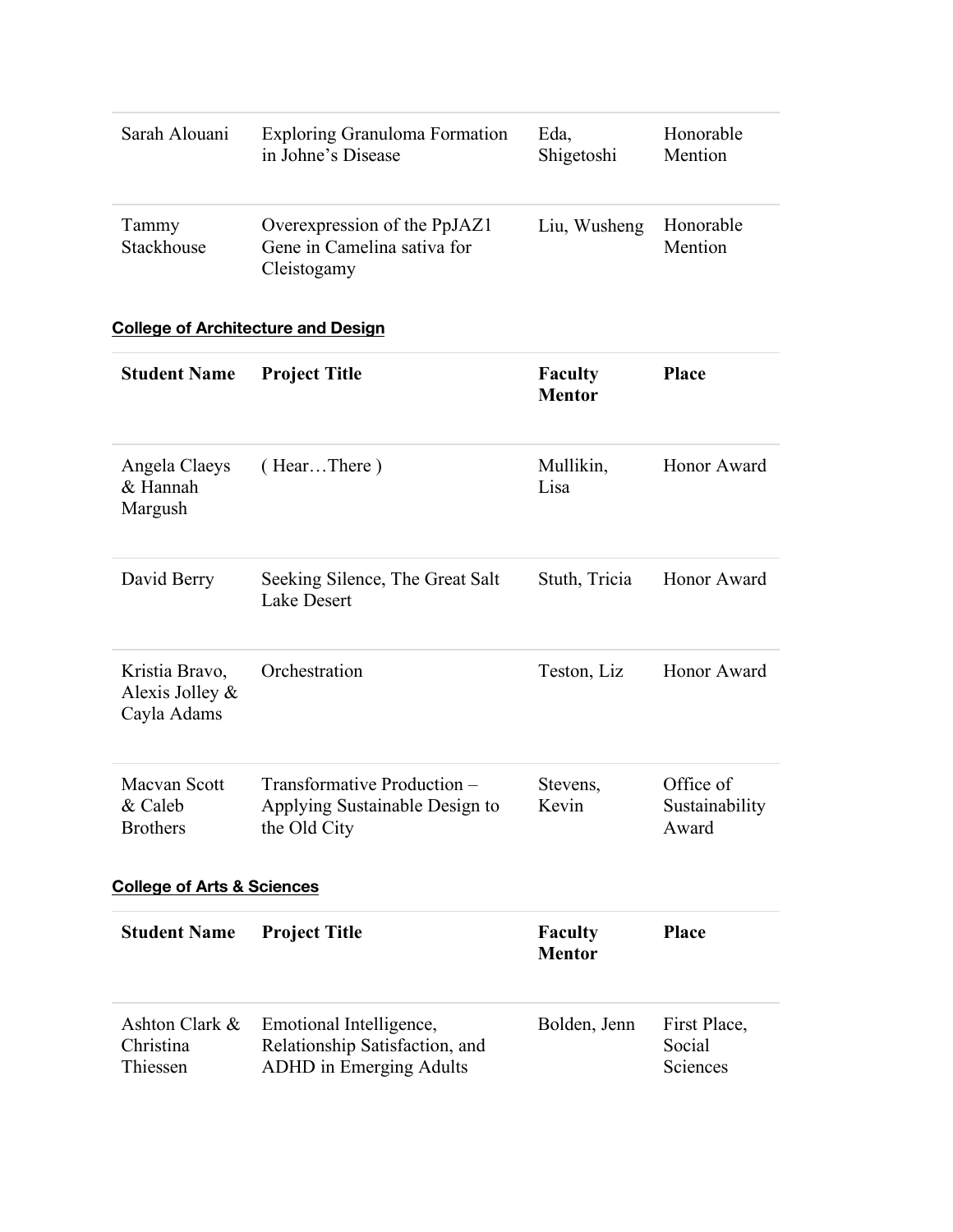| Sarah Alouani       | <b>Exploring Granuloma Formation</b>                                       | Eda,         | Honorable            |
|---------------------|----------------------------------------------------------------------------|--------------|----------------------|
|                     | in Johne's Disease                                                         | Shigetoshi   | Mention              |
| Tammy<br>Stackhouse | Overexpression of the PpJAZ1<br>Gene in Camelina sativa for<br>Cleistogamy | Liu, Wusheng | Honorable<br>Mention |

## **College of Architecture and Design**

| <b>Student Name</b>                              | <b>Project Title</b>                                                                        | <b>Faculty</b><br><b>Mentor</b> | Place                                |
|--------------------------------------------------|---------------------------------------------------------------------------------------------|---------------------------------|--------------------------------------|
| Angela Claeys<br>& Hannah<br>Margush             | (HearThere)                                                                                 | Mullikin,<br>Lisa               | Honor Award                          |
| David Berry                                      | Seeking Silence, The Great Salt<br><b>Lake Desert</b>                                       | Stuth, Tricia                   | Honor Award                          |
| Kristia Bravo,<br>Alexis Jolley &<br>Cayla Adams | Orchestration                                                                               | Teston, Liz                     | Honor Award                          |
| Macvan Scott<br>& Caleb<br><b>Brothers</b>       | Transformative Production -<br>Applying Sustainable Design to<br>the Old City               | Stevens,<br>Kevin               | Office of<br>Sustainability<br>Award |
| <b>College of Arts &amp; Sciences</b>            |                                                                                             |                                 |                                      |
| <b>Student Name</b>                              | <b>Project Title</b>                                                                        | <b>Faculty</b><br><b>Mentor</b> | Place                                |
| Ashton Clark &<br>Christina<br>Thiessen          | Emotional Intelligence,<br>Relationship Satisfaction, and<br><b>ADHD</b> in Emerging Adults | Bolden, Jenn                    | First Place,<br>Social<br>Sciences   |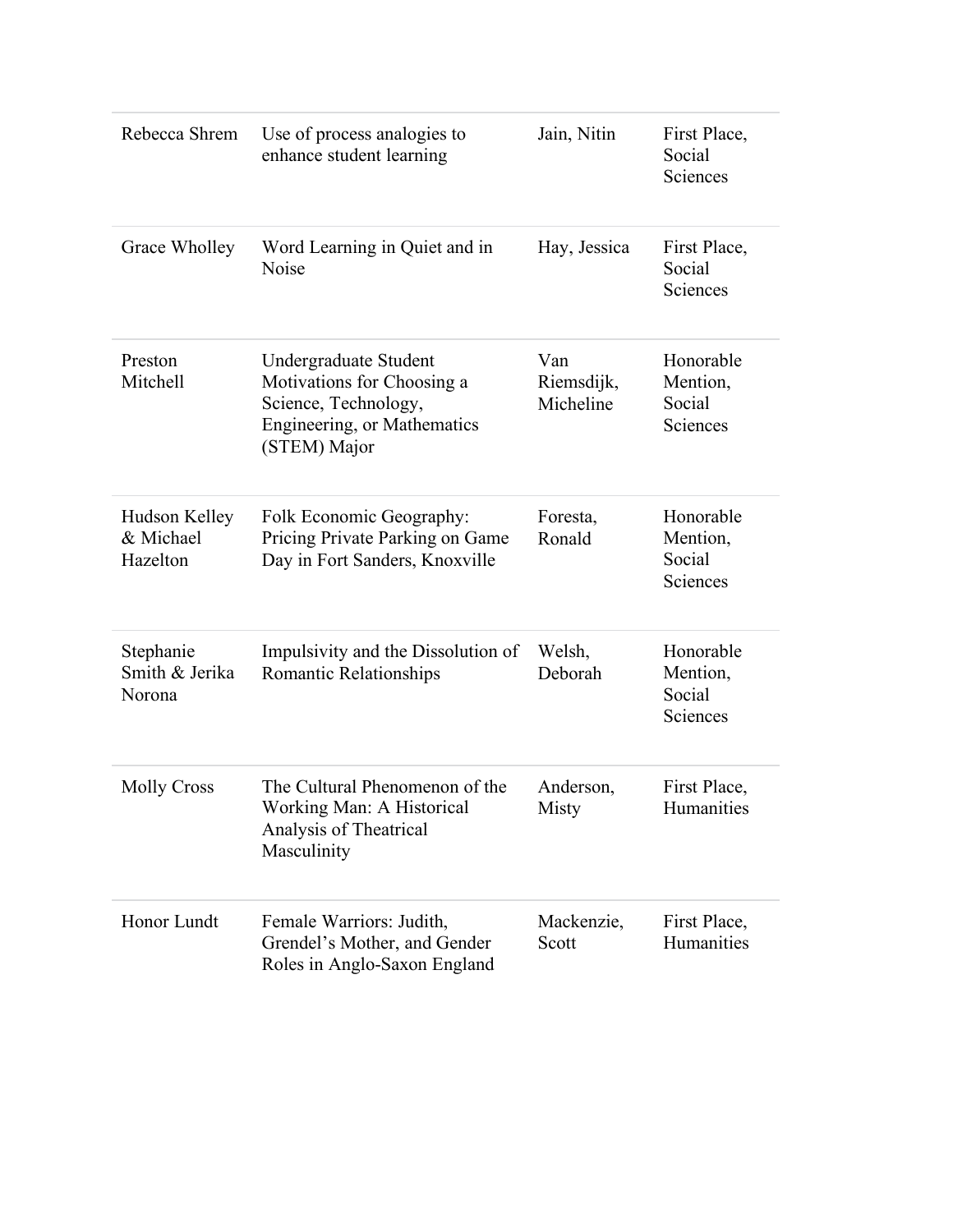| Rebecca Shrem                          | Use of process analogies to<br>enhance student learning                                                                    | Jain, Nitin                    | First Place,<br>Social<br>Sciences          |
|----------------------------------------|----------------------------------------------------------------------------------------------------------------------------|--------------------------------|---------------------------------------------|
| Grace Wholley                          | Word Learning in Quiet and in<br>Noise                                                                                     | Hay, Jessica                   | First Place,<br>Social<br>Sciences          |
| Preston<br>Mitchell                    | Undergraduate Student<br>Motivations for Choosing a<br>Science, Technology,<br>Engineering, or Mathematics<br>(STEM) Major | Van<br>Riemsdijk,<br>Micheline | Honorable<br>Mention,<br>Social<br>Sciences |
| Hudson Kelley<br>& Michael<br>Hazelton | Folk Economic Geography:<br>Pricing Private Parking on Game<br>Day in Fort Sanders, Knoxville                              | Foresta,<br>Ronald             | Honorable<br>Mention,<br>Social<br>Sciences |
| Stephanie<br>Smith & Jerika<br>Norona  | Impulsivity and the Dissolution of<br><b>Romantic Relationships</b>                                                        | Welsh,<br>Deborah              | Honorable<br>Mention,<br>Social<br>Sciences |
| <b>Molly Cross</b>                     | The Cultural Phenomenon of the<br>Working Man: A Historical<br>Analysis of Theatrical<br>Masculinity                       | Anderson,<br>Misty             | First Place,<br>Humanities                  |
| Honor Lundt                            | Female Warriors: Judith,<br>Grendel's Mother, and Gender<br>Roles in Anglo-Saxon England                                   | Mackenzie,<br>Scott            | First Place,<br>Humanities                  |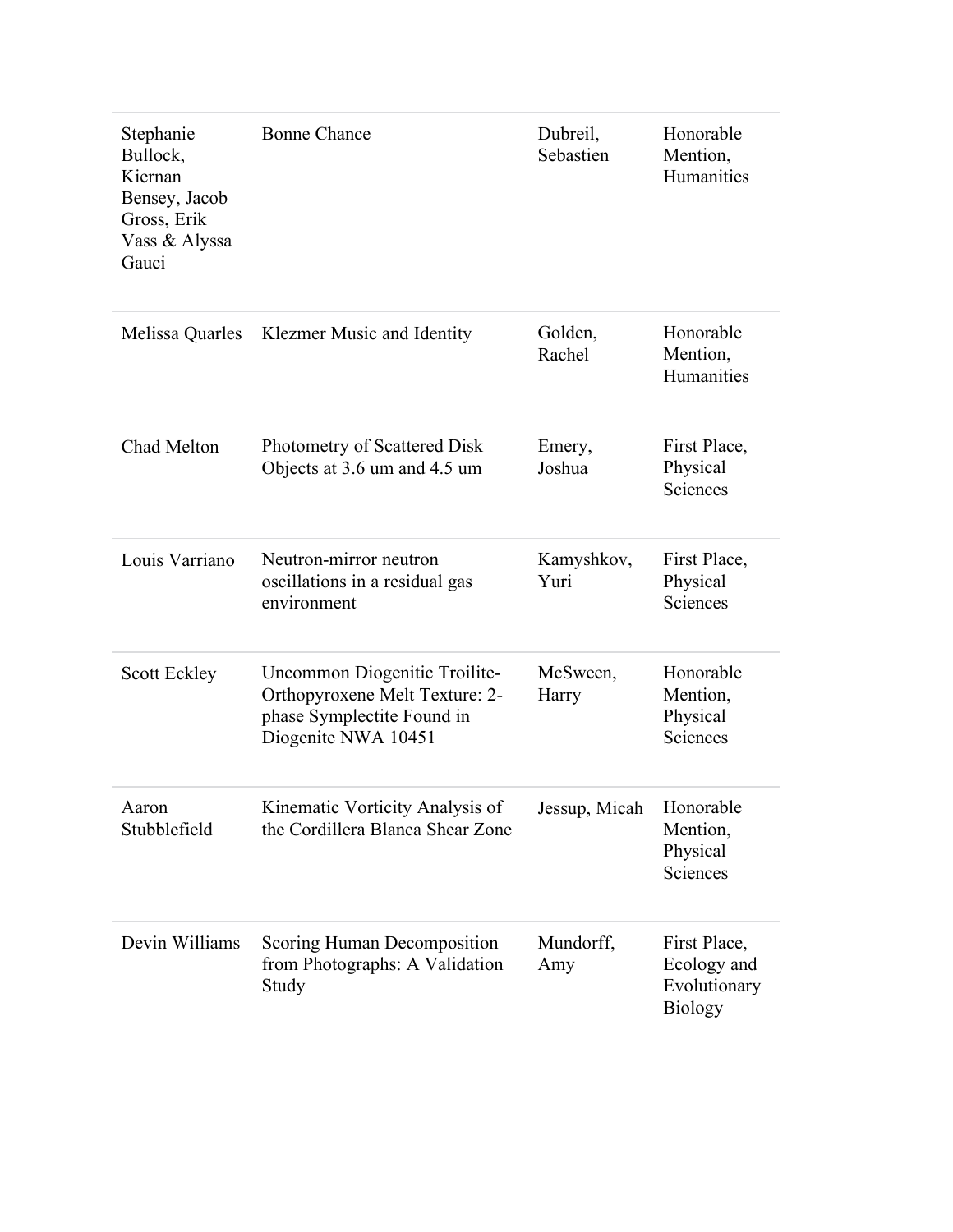| Stephanie<br>Bullock,<br>Kiernan<br>Bensey, Jacob<br>Gross, Erik<br>Vass & Alyssa<br>Gauci | <b>Bonne Chance</b>                                                                                                  | Dubreil,<br>Sebastien   | Honorable<br>Mention,<br>Humanities                           |
|--------------------------------------------------------------------------------------------|----------------------------------------------------------------------------------------------------------------------|-------------------------|---------------------------------------------------------------|
|                                                                                            | Melissa Quarles Klezmer Music and Identity                                                                           | Golden,<br>Rachel       | Honorable<br>Mention,<br>Humanities                           |
| Chad Melton                                                                                | Photometry of Scattered Disk<br>Objects at 3.6 um and 4.5 um                                                         | Emery,<br>Joshua        | First Place,<br>Physical<br>Sciences                          |
| Louis Varriano                                                                             | Neutron-mirror neutron<br>oscillations in a residual gas<br>environment                                              | Kamyshkov,<br>Yuri      | First Place,<br>Physical<br>Sciences                          |
| <b>Scott Eckley</b>                                                                        | Uncommon Diogenitic Troilite-<br>Orthopyroxene Melt Texture: 2-<br>phase Symplectite Found in<br>Diogenite NWA 10451 | McSween,<br>Harry       | Honorable<br>Mention,<br>Physical<br>Sciences                 |
| Aaron<br>Stubblefield                                                                      | Kinematic Vorticity Analysis of<br>the Cordillera Blanca Shear Zone                                                  | Jessup, Micah Honorable | Mention,<br>Physical<br>Sciences                              |
| Devin Williams                                                                             | Scoring Human Decomposition<br>from Photographs: A Validation<br>Study                                               | Mundorff,<br>Amy        | First Place,<br>Ecology and<br>Evolutionary<br><b>Biology</b> |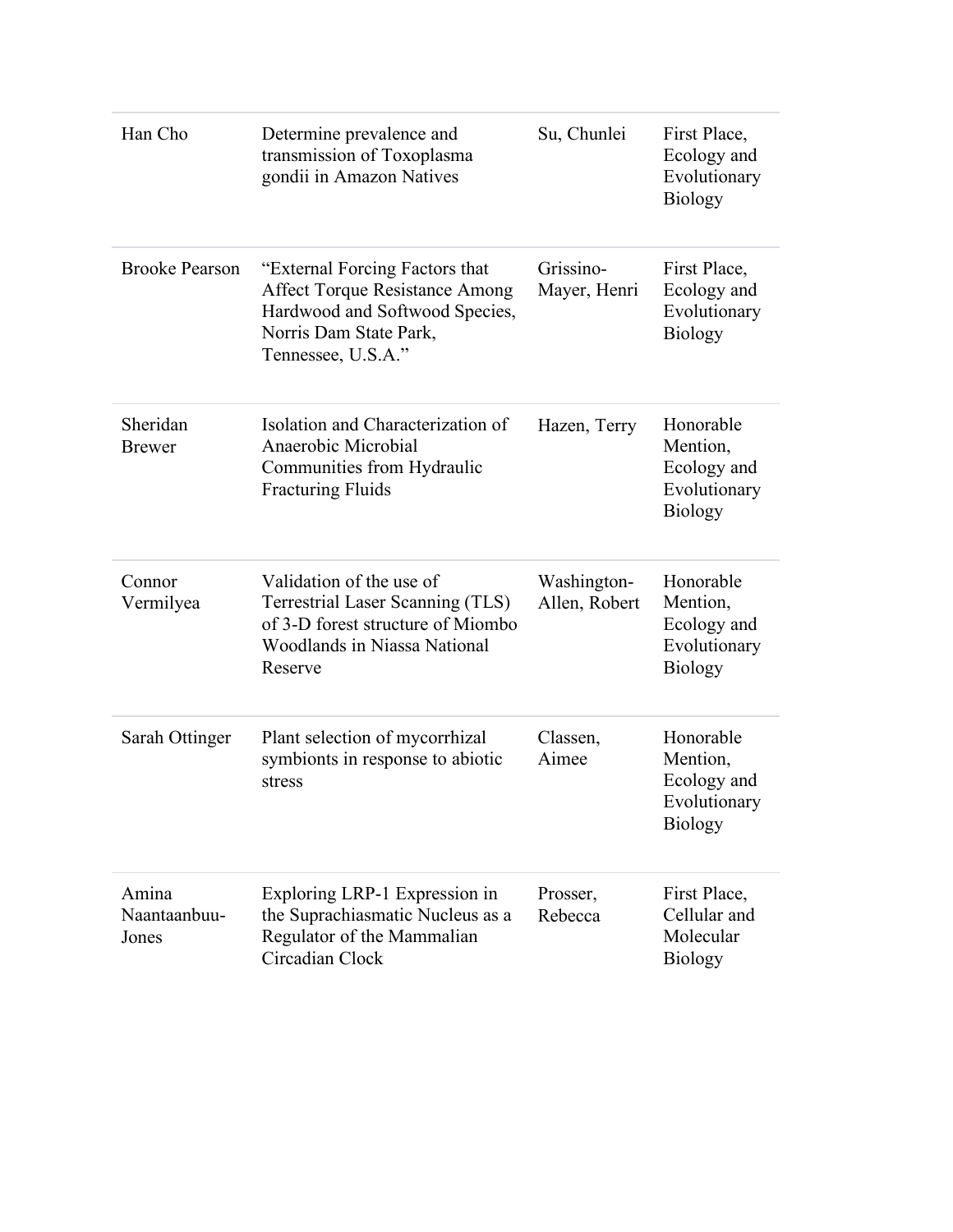| Han Cho                        | Determine prevalence and<br>transmission of Toxoplasma<br>gondii in Amazon Natives                                                                  | Su, Chunlei                  | First Place,<br>Ecology and<br>Evolutionary<br><b>Biology</b>          |
|--------------------------------|-----------------------------------------------------------------------------------------------------------------------------------------------------|------------------------------|------------------------------------------------------------------------|
| <b>Brooke Pearson</b>          | "External Forcing Factors that<br>Affect Torque Resistance Among<br>Hardwood and Softwood Species,<br>Norris Dam State Park,<br>Tennessee, U.S.A."  | Grissino-<br>Mayer, Henri    | First Place,<br>Ecology and<br>Evolutionary<br><b>Biology</b>          |
| Sheridan<br><b>Brewer</b>      | Isolation and Characterization of<br>Anaerobic Microbial<br>Communities from Hydraulic<br><b>Fracturing Fluids</b>                                  | Hazen, Terry                 | Honorable<br>Mention,<br>Ecology and<br>Evolutionary<br><b>Biology</b> |
| Connor<br>Vermilyea            | Validation of the use of<br>Terrestrial Laser Scanning (TLS)<br>of 3-D forest structure of Miombo<br><b>Woodlands in Niassa National</b><br>Reserve | Washington-<br>Allen, Robert | Honorable<br>Mention,<br>Ecology and<br>Evolutionary<br><b>Biology</b> |
| Sarah Ottinger                 | Plant selection of mycorrhizal<br>symbionts in response to abiotic<br>stress                                                                        | Classen,<br>Aimee            | Honorable<br>Mention,<br>Ecology and<br>Evolutionary<br><b>Biology</b> |
| Amina<br>Naantaanbuu-<br>Jones | Exploring LRP-1 Expression in<br>the Suprachiasmatic Nucleus as a<br>Regulator of the Mammalian<br>Circadian Clock                                  | Prosser,<br>Rebecca          | First Place,<br>Cellular and<br>Molecular<br><b>Biology</b>            |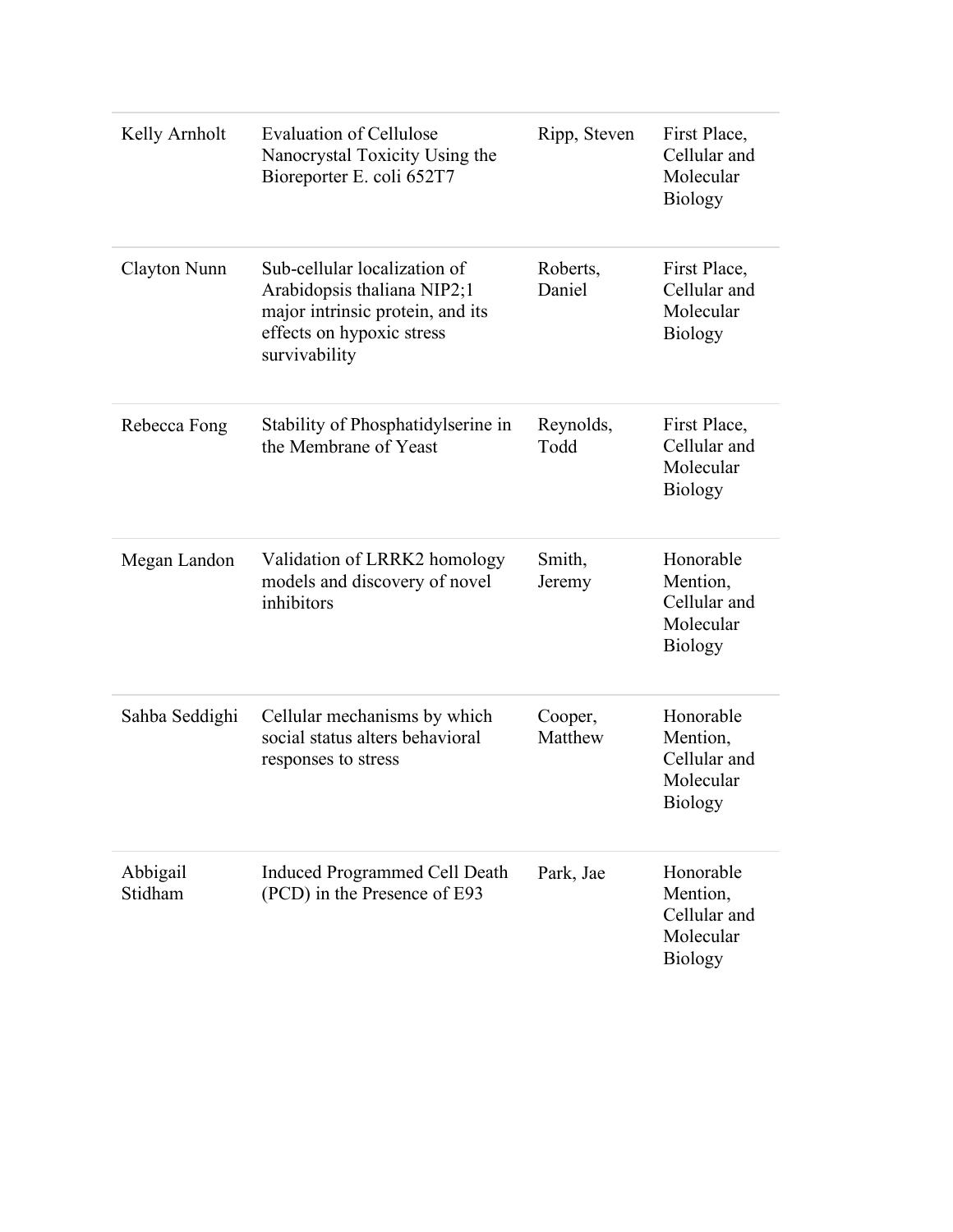| Kelly Arnholt       | <b>Evaluation of Cellulose</b><br>Nanocrystal Toxicity Using the<br>Bioreporter E. coli 652T7                                                 | Ripp, Steven       | First Place,<br>Cellular and<br>Molecular<br><b>Biology</b>          |
|---------------------|-----------------------------------------------------------------------------------------------------------------------------------------------|--------------------|----------------------------------------------------------------------|
| Clayton Nunn        | Sub-cellular localization of<br>Arabidopsis thaliana NIP2;1<br>major intrinsic protein, and its<br>effects on hypoxic stress<br>survivability | Roberts,<br>Daniel | First Place,<br>Cellular and<br>Molecular<br><b>Biology</b>          |
| Rebecca Fong        | Stability of Phosphatidylserine in<br>the Membrane of Yeast                                                                                   | Reynolds,<br>Todd  | First Place,<br>Cellular and<br>Molecular<br><b>Biology</b>          |
| Megan Landon        | Validation of LRRK2 homology<br>models and discovery of novel<br>inhibitors                                                                   | Smith,<br>Jeremy   | Honorable<br>Mention,<br>Cellular and<br>Molecular<br><b>Biology</b> |
| Sahba Seddighi      | Cellular mechanisms by which<br>social status alters behavioral<br>responses to stress                                                        | Cooper,<br>Matthew | Honorable<br>Mention,<br>Cellular and<br>Molecular<br><b>Biology</b> |
| Abbigail<br>Stidham | Induced Programmed Cell Death<br>(PCD) in the Presence of E93                                                                                 | Park, Jae          | Honorable<br>Mention,<br>Cellular and<br>Molecular<br><b>Biology</b> |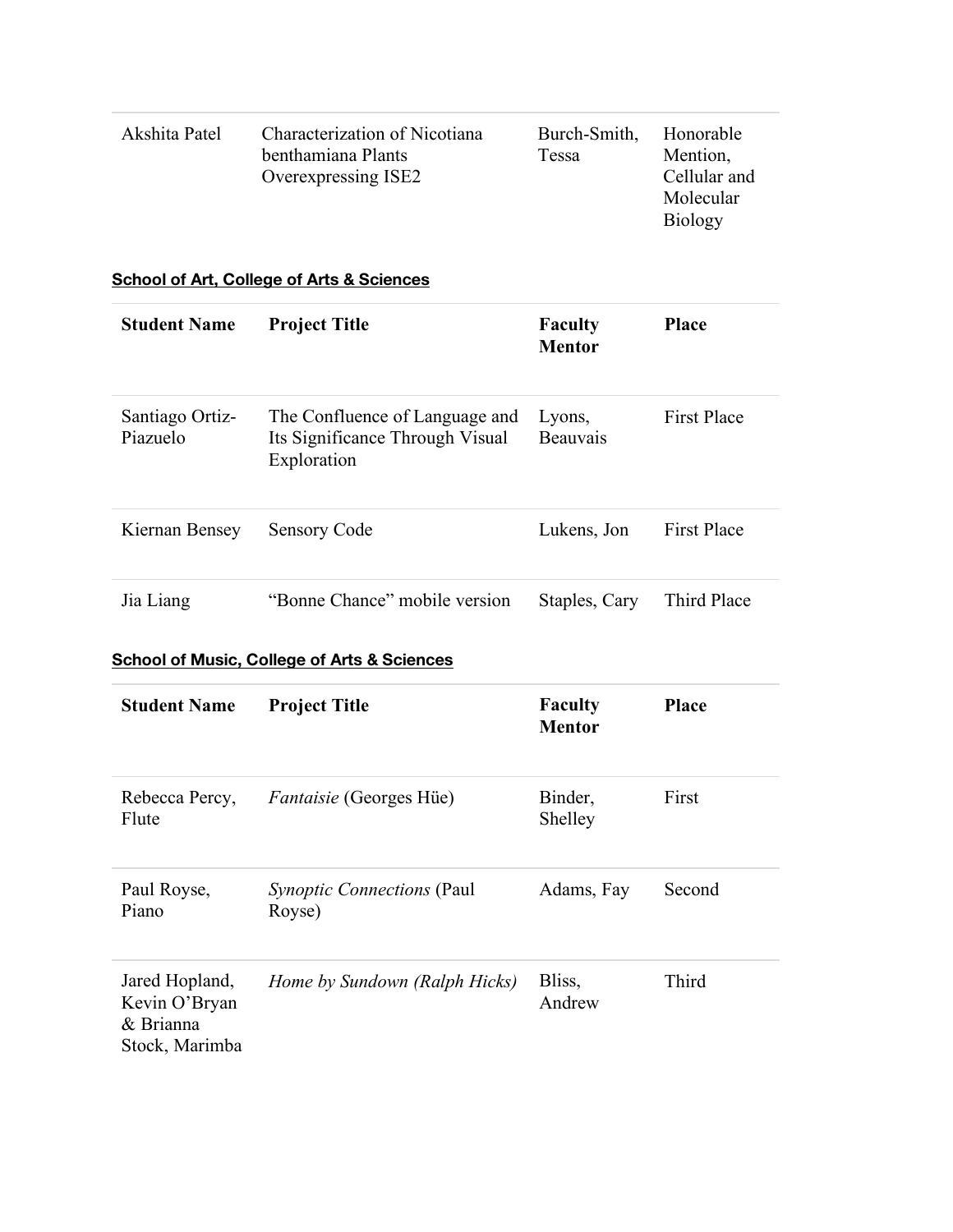| Akshita Patel       | Characterization of Nicotiana<br>benthamiana Plants<br>Overexpressing ISE2<br><b>School of Art, College of Arts &amp; Sciences</b> | Burch-Smith,<br>Tessa           | Honorable<br>Mention,<br>Cellular and<br>Molecular<br><b>Biology</b> |
|---------------------|------------------------------------------------------------------------------------------------------------------------------------|---------------------------------|----------------------------------------------------------------------|
| <b>Student Name</b> | <b>Project Title</b>                                                                                                               | <b>Faculty</b><br><b>Mentor</b> | <b>Place</b>                                                         |

| Santiago Ortiz-<br>Piazuelo | The Confluence of Language and<br>Its Significance Through Visual<br>Exploration | Lyons,<br>Beauvais | <b>First Place</b> |
|-----------------------------|----------------------------------------------------------------------------------|--------------------|--------------------|
| Kiernan Bensey              | <b>Sensory Code</b>                                                              | Lukens, Jon        | <b>First Place</b> |
| Jia Liang                   | "Bonne Chance" mobile version                                                    | Staples, Cary      | Third Place        |

### **School of Music, College of Arts & Sciences**

| <b>Student Name</b>                                            | <b>Project Title</b>                        | <b>Faculty</b><br><b>Mentor</b> | <b>Place</b> |
|----------------------------------------------------------------|---------------------------------------------|---------------------------------|--------------|
| Rebecca Percy,<br>Flute                                        | <i>Fantaisie</i> (Georges Hüe)              | Binder,<br>Shelley              | First        |
| Paul Royse,<br>Piano                                           | <i>Synoptic Connections</i> (Paul<br>Royse) | Adams, Fay                      | Second       |
| Jared Hopland,<br>Kevin O'Bryan<br>& Brianna<br>Stock, Marimba | Home by Sundown (Ralph Hicks)               | Bliss,<br>Andrew                | Third        |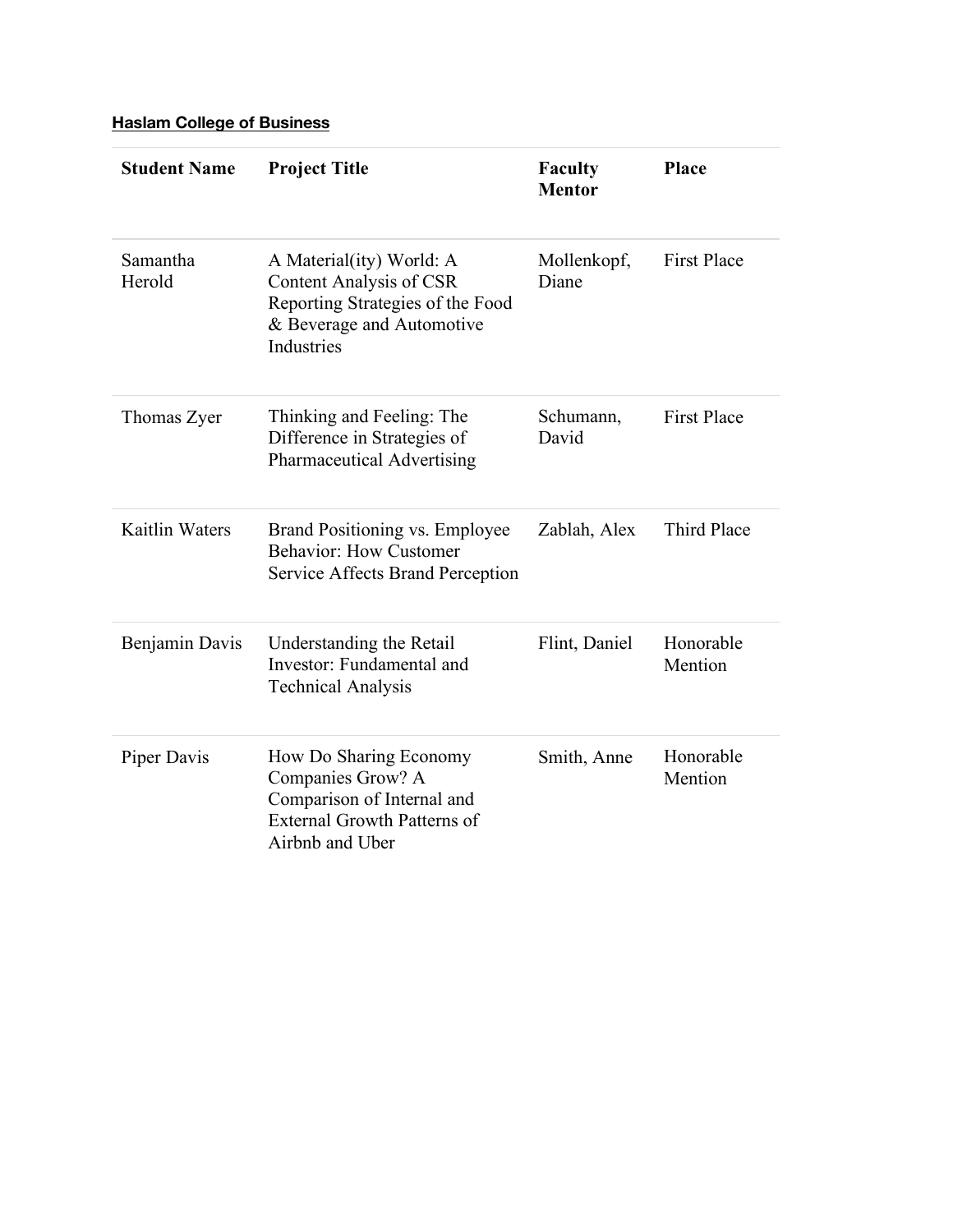## **Haslam College of Business**

| <b>Student Name</b>   | <b>Project Title</b>                                                                                                               | <b>Faculty</b><br><b>Mentor</b> | Place                |
|-----------------------|------------------------------------------------------------------------------------------------------------------------------------|---------------------------------|----------------------|
| Samantha<br>Herold    | A Material(ity) World: A<br>Content Analysis of CSR<br>Reporting Strategies of the Food<br>& Beverage and Automotive<br>Industries | Mollenkopf,<br>Diane            | <b>First Place</b>   |
| Thomas Zyer           | Thinking and Feeling: The<br>Difference in Strategies of<br>Pharmaceutical Advertising                                             | Schumann,<br>David              | <b>First Place</b>   |
| <b>Kaitlin Waters</b> | Brand Positioning vs. Employee<br><b>Behavior: How Customer</b><br>Service Affects Brand Perception                                | Zablah, Alex                    | Third Place          |
| Benjamin Davis        | Understanding the Retail<br>Investor: Fundamental and<br><b>Technical Analysis</b>                                                 | Flint, Daniel                   | Honorable<br>Mention |
| Piper Davis           | How Do Sharing Economy<br>Companies Grow? A<br>Comparison of Internal and<br><b>External Growth Patterns of</b><br>Airbnb and Uber | Smith, Anne                     | Honorable<br>Mention |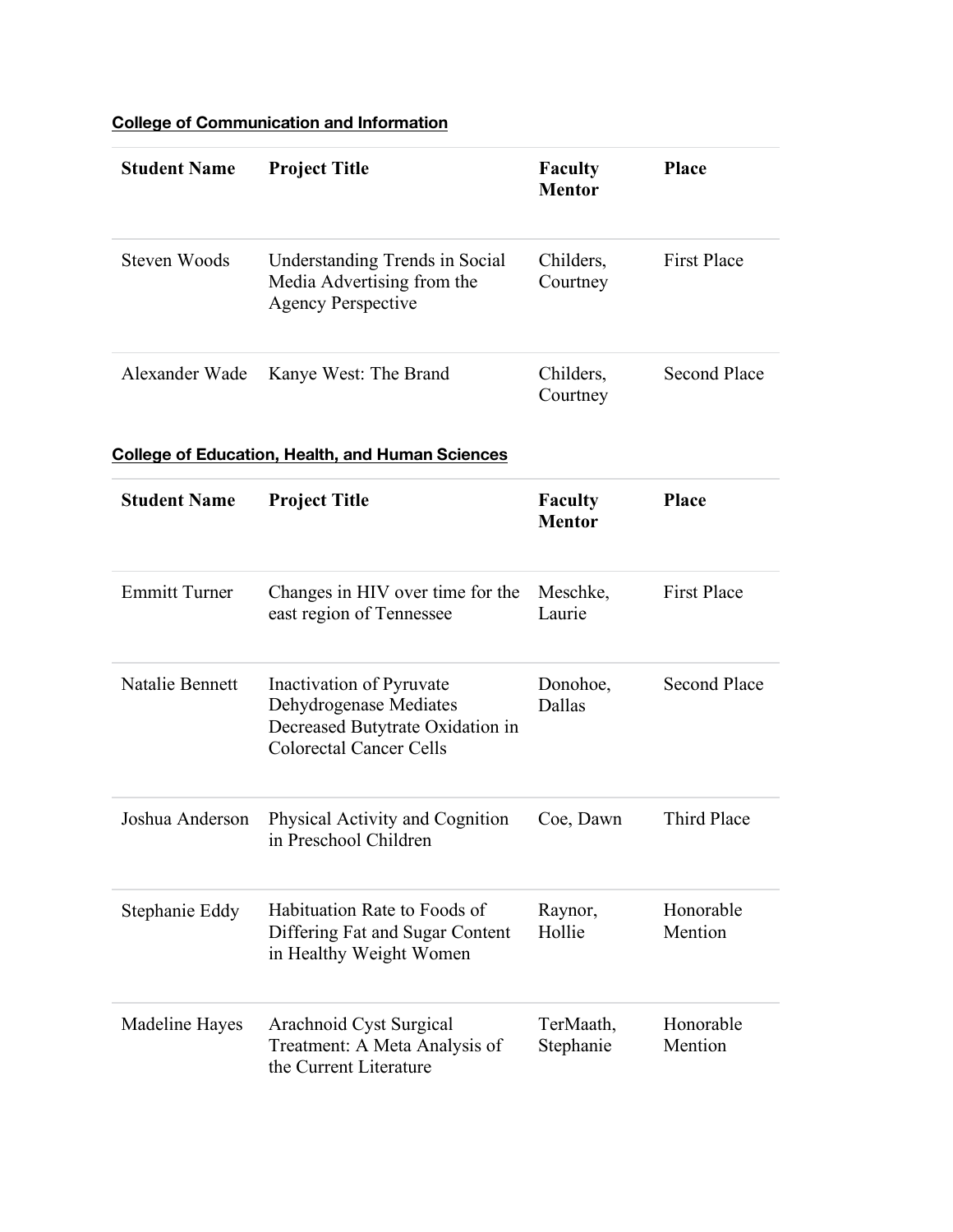## **College of Communication and Information**

| <b>Student Name</b>  | <b>Project Title</b>                                                                                                     | <b>Faculty</b><br><b>Mentor</b> | <b>Place</b>         |
|----------------------|--------------------------------------------------------------------------------------------------------------------------|---------------------------------|----------------------|
| <b>Steven Woods</b>  | Understanding Trends in Social<br>Media Advertising from the<br><b>Agency Perspective</b>                                | Childers,<br>Courtney           | <b>First Place</b>   |
| Alexander Wade       | Kanye West: The Brand                                                                                                    | Childers,<br>Courtney           | <b>Second Place</b>  |
|                      | <b>College of Education, Health, and Human Sciences</b>                                                                  |                                 |                      |
| <b>Student Name</b>  | <b>Project Title</b>                                                                                                     | <b>Faculty</b><br><b>Mentor</b> | Place                |
| <b>Emmitt Turner</b> | Changes in HIV over time for the<br>east region of Tennessee                                                             | Meschke,<br>Laurie              | <b>First Place</b>   |
| Natalie Bennett      | Inactivation of Pyruvate<br>Dehydrogenase Mediates<br>Decreased Butytrate Oxidation in<br><b>Colorectal Cancer Cells</b> | Donohoe,<br>Dallas              | <b>Second Place</b>  |
| Joshua Anderson      | Physical Activity and Cognition<br>in Preschool Children                                                                 | Coe, Dawn                       | <b>Third Place</b>   |
| Stephanie Eddy       | Habituation Rate to Foods of<br>Differing Fat and Sugar Content<br>in Healthy Weight Women                               | Raynor,<br>Hollie               | Honorable<br>Mention |
| Madeline Hayes       | Arachnoid Cyst Surgical<br>Treatment: A Meta Analysis of<br>the Current Literature                                       | TerMaath,<br>Stephanie          | Honorable<br>Mention |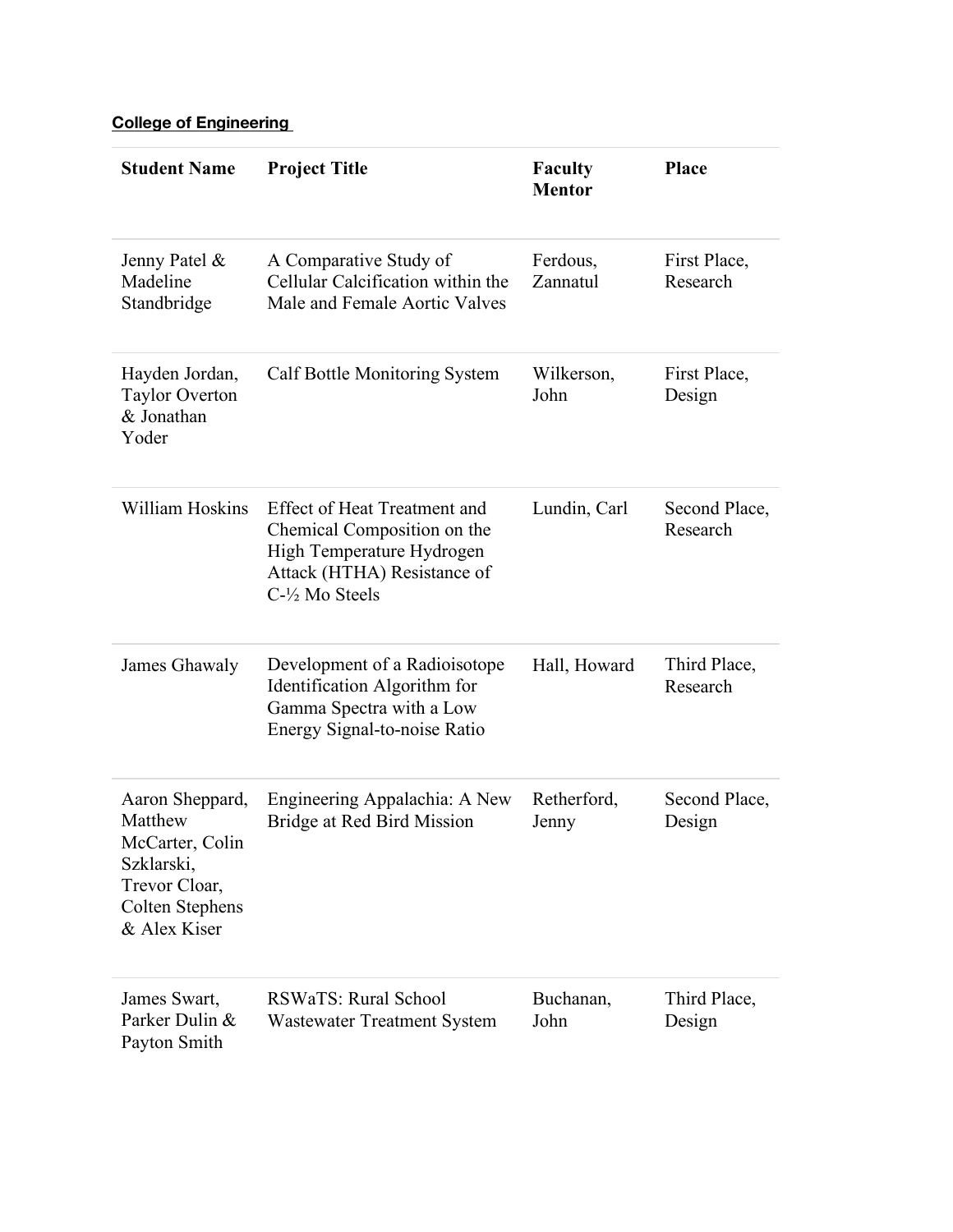## **College of Engineering**

| <b>Student Name</b>                                                                                             | <b>Project Title</b>                                                                                                                                | <b>Faculty</b><br><b>Mentor</b> | Place                     |
|-----------------------------------------------------------------------------------------------------------------|-----------------------------------------------------------------------------------------------------------------------------------------------------|---------------------------------|---------------------------|
| Jenny Patel &<br>Madeline<br>Standbridge                                                                        | A Comparative Study of<br>Cellular Calcification within the<br>Male and Female Aortic Valves                                                        | Ferdous,<br>Zannatul            | First Place,<br>Research  |
| Hayden Jordan,<br><b>Taylor Overton</b><br>& Jonathan<br>Yoder                                                  | <b>Calf Bottle Monitoring System</b>                                                                                                                | Wilkerson,<br>John              | First Place,<br>Design    |
| <b>William Hoskins</b>                                                                                          | <b>Effect of Heat Treatment and</b><br>Chemical Composition on the<br>High Temperature Hydrogen<br>Attack (HTHA) Resistance of<br>$C-1/2$ Mo Steels | Lundin, Carl                    | Second Place,<br>Research |
| James Ghawaly                                                                                                   | Development of a Radioisotope<br>Identification Algorithm for<br>Gamma Spectra with a Low<br>Energy Signal-to-noise Ratio                           | Hall, Howard                    | Third Place,<br>Research  |
| Aaron Sheppard,<br>Matthew<br>McCarter, Colin<br>Szklarski,<br>Trevor Cloar,<br>Colten Stephens<br>& Alex Kiser | Engineering Appalachia: A New<br>Bridge at Red Bird Mission                                                                                         | Retherford,<br>Jenny            | Second Place,<br>Design   |
| James Swart,<br>Parker Dulin &<br>Payton Smith                                                                  | RSWaTS: Rural School<br><b>Wastewater Treatment System</b>                                                                                          | Buchanan,<br>John               | Third Place,<br>Design    |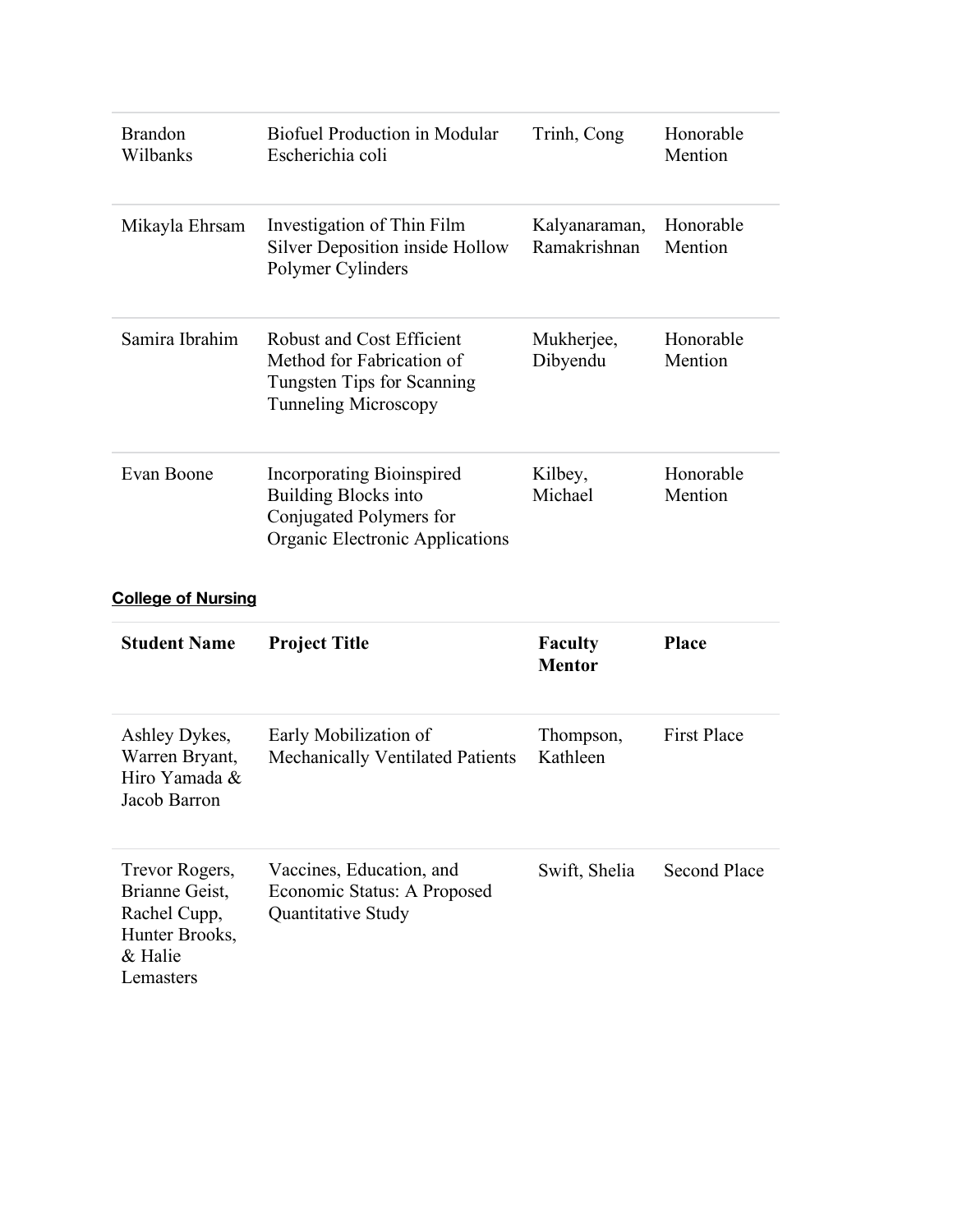| <b>Brandon</b><br>Wilbanks                | <b>Biofuel Production in Modular</b><br>Escherichia coli                                                               | Trinh, Cong                   | Honorable<br>Mention |
|-------------------------------------------|------------------------------------------------------------------------------------------------------------------------|-------------------------------|----------------------|
| Mikayla Ehrsam                            | Investigation of Thin Film<br>Silver Deposition inside Hollow<br>Polymer Cylinders                                     | Kalyanaraman,<br>Ramakrishnan | Honorable<br>Mention |
| Samira Ibrahim                            | Robust and Cost Efficient<br>Method for Fabrication of<br>Tungsten Tips for Scanning<br><b>Tunneling Microscopy</b>    | Mukherjee,<br>Dibyendu        | Honorable<br>Mention |
| Evan Boone                                | Incorporating Bioinspired<br><b>Building Blocks into</b><br>Conjugated Polymers for<br>Organic Electronic Applications | Kilbey,<br>Michael            | Honorable<br>Mention |
| <b>College of Nursing</b>                 |                                                                                                                        |                               |                      |
| $\alpha$ , $\alpha$ , $\alpha$ , $\alpha$ |                                                                                                                        |                               |                      |

| <b>Student Name</b>                                                                        | <b>Project Title</b>                                                                 | <b>Faculty</b><br><b>Mentor</b> | <b>Place</b>        |
|--------------------------------------------------------------------------------------------|--------------------------------------------------------------------------------------|---------------------------------|---------------------|
| Ashley Dykes,<br>Warren Bryant,<br>Hiro Yamada &<br>Jacob Barron                           | Early Mobilization of<br>Mechanically Ventilated Patients                            | Thompson,<br>Kathleen           | <b>First Place</b>  |
| Trevor Rogers,<br>Brianne Geist,<br>Rachel Cupp,<br>Hunter Brooks,<br>& Halie<br>Lemasters | Vaccines, Education, and<br>Economic Status: A Proposed<br><b>Quantitative Study</b> | Swift, Shelia                   | <b>Second Place</b> |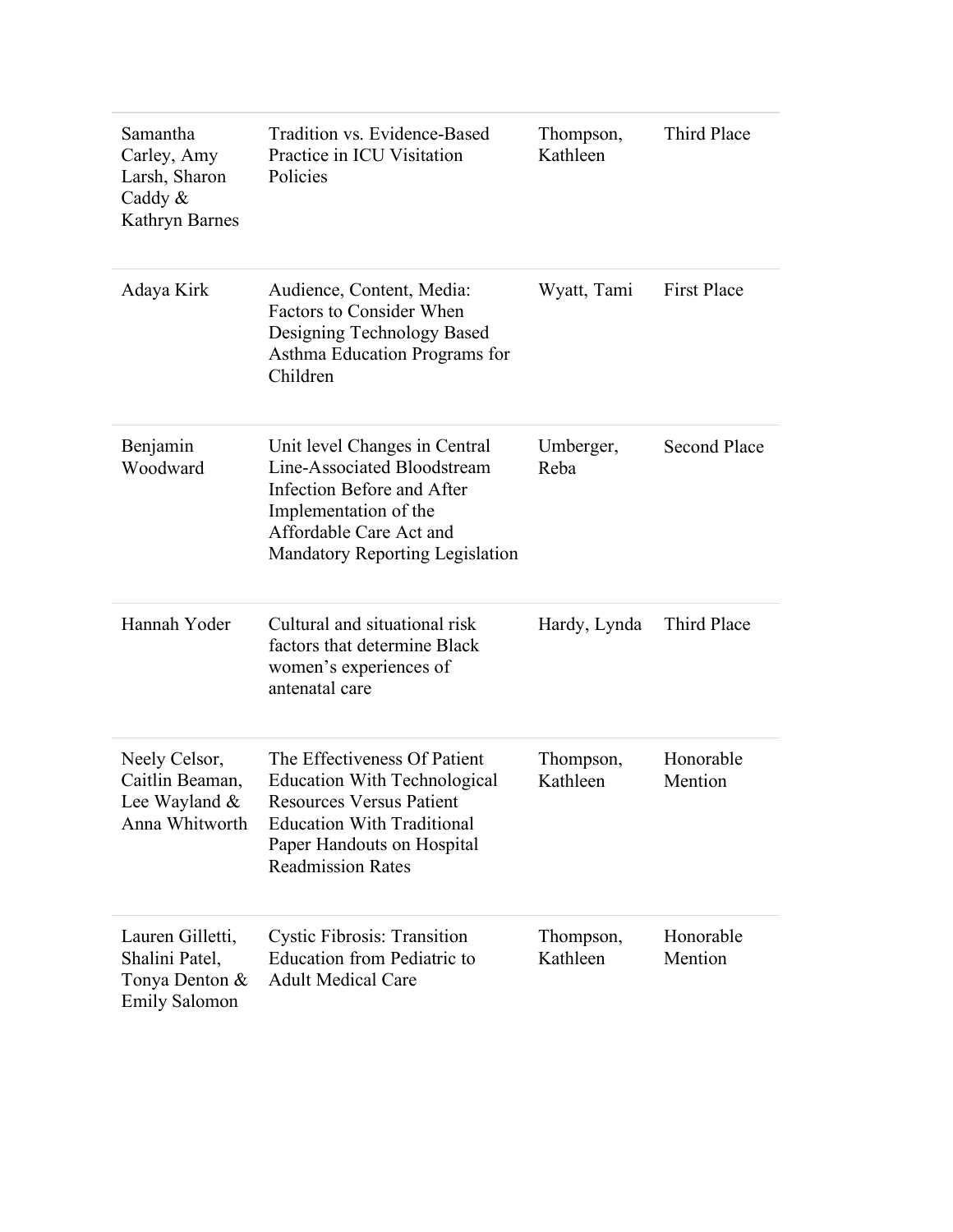| Samantha<br>Carley, Amy<br>Larsh, Sharon<br>Caddy $\&$<br>Kathryn Barnes     | Tradition vs. Evidence-Based<br>Practice in ICU Visitation<br>Policies                                                                                                                                | Thompson,<br>Kathleen | Third Place          |
|------------------------------------------------------------------------------|-------------------------------------------------------------------------------------------------------------------------------------------------------------------------------------------------------|-----------------------|----------------------|
| Adaya Kirk                                                                   | Audience, Content, Media:<br><b>Factors to Consider When</b><br>Designing Technology Based<br>Asthma Education Programs for<br>Children                                                               | Wyatt, Tami           | <b>First Place</b>   |
| Benjamin<br>Woodward                                                         | Unit level Changes in Central<br>Line-Associated Bloodstream<br>Infection Before and After<br>Implementation of the<br>Affordable Care Act and<br><b>Mandatory Reporting Legislation</b>              | Umberger,<br>Reba     | <b>Second Place</b>  |
| Hannah Yoder                                                                 | Cultural and situational risk<br>factors that determine Black<br>women's experiences of<br>antenatal care                                                                                             | Hardy, Lynda          | Third Place          |
| Neely Celsor,<br>Caitlin Beaman,<br>Lee Wayland &<br>Anna Whitworth          | The Effectiveness Of Patient<br><b>Education With Technological</b><br><b>Resources Versus Patient</b><br><b>Education With Traditional</b><br>Paper Handouts on Hospital<br><b>Readmission Rates</b> | Thompson,<br>Kathleen | Honorable<br>Mention |
| Lauren Gilletti,<br>Shalini Patel,<br>Tonya Denton &<br><b>Emily Salomon</b> | <b>Cystic Fibrosis: Transition</b><br><b>Education from Pediatric to</b><br><b>Adult Medical Care</b>                                                                                                 | Thompson,<br>Kathleen | Honorable<br>Mention |